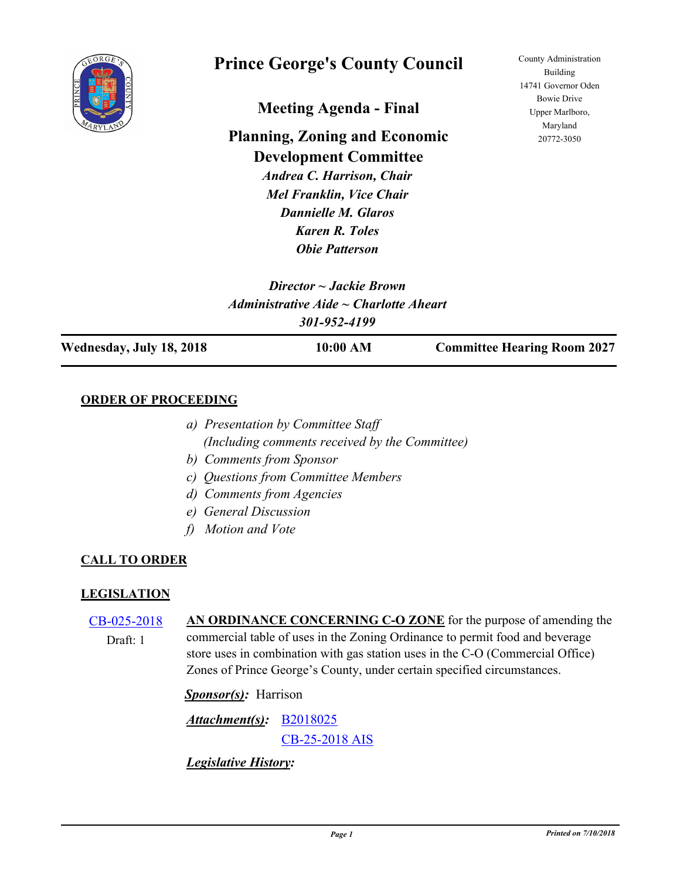

# **Prince George's County Council**

**Meeting Agenda - Final**

**Planning, Zoning and Economic Development Committee** *Andrea C. Harrison, Chair*

*Mel Franklin, Vice Chair Dannielle M. Glaros Karen R. Toles Obie Patterson*

County Administration Building 14741 Governor Oden Bowie Drive Upper Marlboro, Maryland 20772-3050

| Director $\sim$ Jackie Brown |                                             |                                    |  |  |
|------------------------------|---------------------------------------------|------------------------------------|--|--|
|                              | $Administrative Aide \sim Charlotte Aheart$ |                                    |  |  |
|                              | 301-952-4199                                |                                    |  |  |
| Wednesday, July 18, 2018     | 10:00 AM                                    | <b>Committee Hearing Room 2027</b> |  |  |

### **ORDER OF PROCEEDING**

- *a) Presentation by Committee Staff (Including comments received by the Committee)*
- *b) Comments from Sponsor*
- *c) Questions from Committee Members*
- *d) Comments from Agencies*
- *e) General Discussion*
- *f) Motion and Vote*

## **CALL TO ORDER**

### **LEGISLATION**

[CB-025-2018](http://princegeorgescountymd.legistar.com/gateway.aspx?m=l&id=/matter.aspx?key=10204) **AN ORDINANCE CONCERNING C-O ZONE** for the purpose of amending the commercial table of uses in the Zoning Ordinance to permit food and beverage store uses in combination with gas station uses in the C-O (Commercial Office) Zones of Prince George's County, under certain specified circumstances. Draft: 1

*Sponsor(s):* Harrison

[B2018025](http://princegeorgescountymd.legistar.com/gateway.aspx?M=F&ID=7a9356a6-ac08-475c-ab9d-1d1e2a3b8dbd.doc) *Attachment(s):* [CB-25-2018 AIS](http://princegeorgescountymd.legistar.com/gateway.aspx?M=F&ID=e603c04a-2bf3-428d-bea2-f46aec7aff1a.pdf)

*Legislative History:*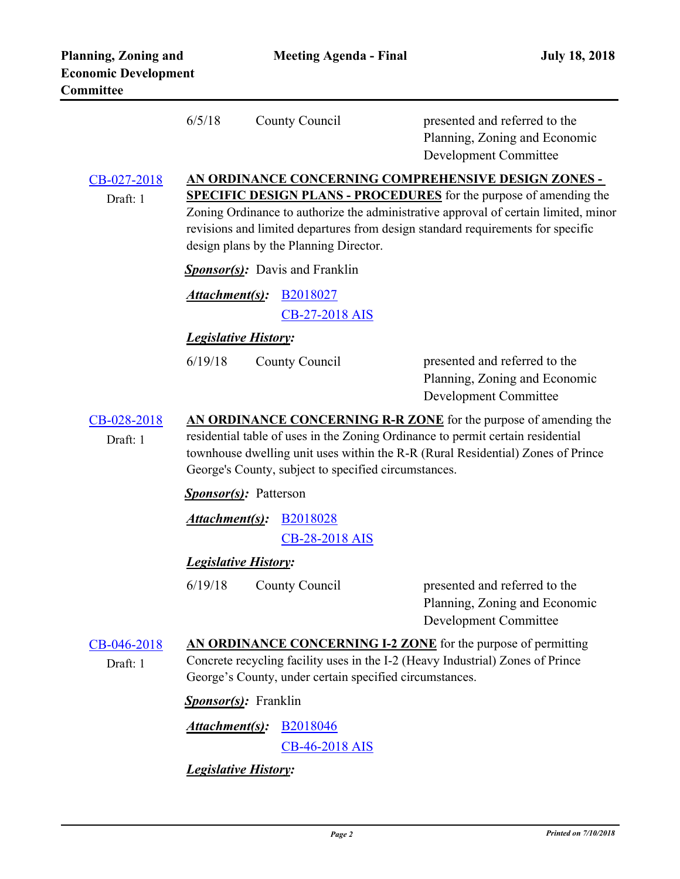|                         | 6/5/18                                                                                                                                                                                                                                                                                                                                                | County Council                 | presented and referred to the<br>Planning, Zoning and Economic<br><b>Development Committee</b> |  |  |  |
|-------------------------|-------------------------------------------------------------------------------------------------------------------------------------------------------------------------------------------------------------------------------------------------------------------------------------------------------------------------------------------------------|--------------------------------|------------------------------------------------------------------------------------------------|--|--|--|
| CB-027-2018<br>Draft: 1 | AN ORDINANCE CONCERNING COMPREHENSIVE DESIGN ZONES -<br><b>SPECIFIC DESIGN PLANS - PROCEDURES</b> for the purpose of amending the<br>Zoning Ordinance to authorize the administrative approval of certain limited, minor<br>revisions and limited departures from design standard requirements for specific<br>design plans by the Planning Director. |                                |                                                                                                |  |  |  |
|                         | <b>Sponsor(s):</b> Davis and Franklin                                                                                                                                                                                                                                                                                                                 |                                |                                                                                                |  |  |  |
|                         |                                                                                                                                                                                                                                                                                                                                                       | <b>Attachment(s): B2018027</b> |                                                                                                |  |  |  |
|                         |                                                                                                                                                                                                                                                                                                                                                       | CB-27-2018 AIS                 |                                                                                                |  |  |  |
|                         |                                                                                                                                                                                                                                                                                                                                                       | <b>Legislative History:</b>    |                                                                                                |  |  |  |
|                         | 6/19/18                                                                                                                                                                                                                                                                                                                                               | County Council                 | presented and referred to the<br>Planning, Zoning and Economic<br><b>Development Committee</b> |  |  |  |
| CB-028-2018             | AN ORDINANCE CONCERNING R-R ZONE for the purpose of amending the                                                                                                                                                                                                                                                                                      |                                |                                                                                                |  |  |  |
| Draft: 1                | residential table of uses in the Zoning Ordinance to permit certain residential<br>townhouse dwelling unit uses within the R-R (Rural Residential) Zones of Prince<br>George's County, subject to specified circumstances.<br><b>Sponsor(s):</b> Patterson                                                                                            |                                |                                                                                                |  |  |  |
|                         |                                                                                                                                                                                                                                                                                                                                                       |                                |                                                                                                |  |  |  |
|                         | <u>Attachment(s)</u> :                                                                                                                                                                                                                                                                                                                                | B <sub>2018028</sub>           |                                                                                                |  |  |  |
|                         |                                                                                                                                                                                                                                                                                                                                                       | CB-28-2018 AIS                 |                                                                                                |  |  |  |
|                         | <b>Legislative History:</b>                                                                                                                                                                                                                                                                                                                           |                                |                                                                                                |  |  |  |
|                         | 6/19/18                                                                                                                                                                                                                                                                                                                                               | County Council                 | presented and referred to the<br>Planning, Zoning and Economic<br><b>Development Committee</b> |  |  |  |
| CB-046-2018             | AN ORDINANCE CONCERNING I-2 ZONE for the purpose of permitting                                                                                                                                                                                                                                                                                        |                                |                                                                                                |  |  |  |
| Draft: 1                | Concrete recycling facility uses in the I-2 (Heavy Industrial) Zones of Prince<br>George's County, under certain specified circumstances.                                                                                                                                                                                                             |                                |                                                                                                |  |  |  |
|                         | Sponsor(s): Franklin                                                                                                                                                                                                                                                                                                                                  |                                |                                                                                                |  |  |  |
|                         | Attachment(s):                                                                                                                                                                                                                                                                                                                                        | <b>B2018046</b>                |                                                                                                |  |  |  |
|                         |                                                                                                                                                                                                                                                                                                                                                       | CB-46-2018 AIS                 |                                                                                                |  |  |  |
|                         | <b>Legislative History:</b>                                                                                                                                                                                                                                                                                                                           |                                |                                                                                                |  |  |  |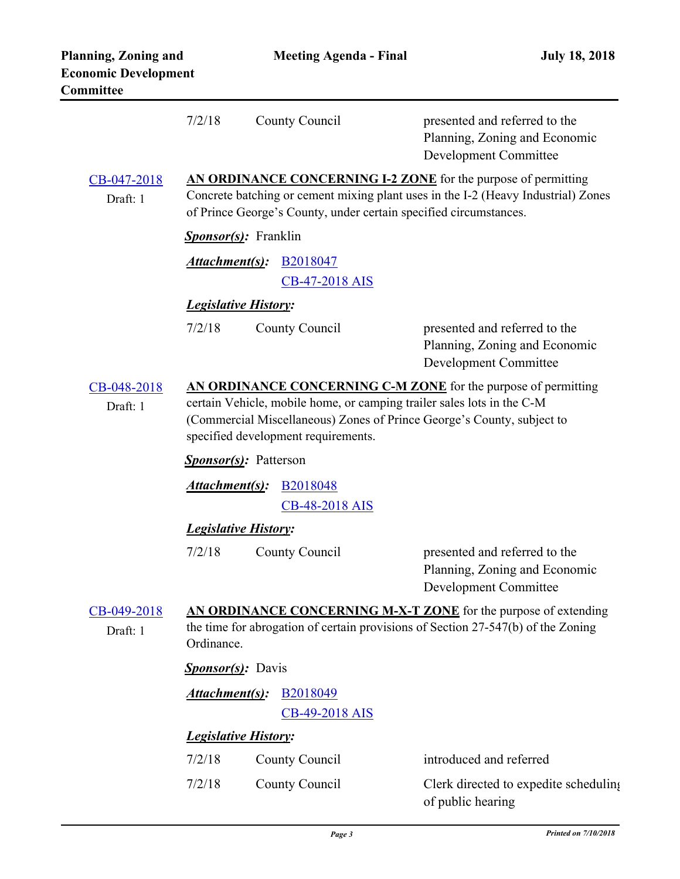|                                                                                                                                                                                              | 7/2/18                                                                                                                                                                                                                                                    | County Council                | presented and referred to the<br>Planning, Zoning and Economic<br>Development Committee        |  |  |
|----------------------------------------------------------------------------------------------------------------------------------------------------------------------------------------------|-----------------------------------------------------------------------------------------------------------------------------------------------------------------------------------------------------------------------------------------------------------|-------------------------------|------------------------------------------------------------------------------------------------|--|--|
| CB-047-2018<br>Draft: 1                                                                                                                                                                      | AN ORDINANCE CONCERNING I-2 ZONE for the purpose of permitting<br>Concrete batching or cement mixing plant uses in the I-2 (Heavy Industrial) Zones<br>of Prince George's County, under certain specified circumstances.                                  |                               |                                                                                                |  |  |
|                                                                                                                                                                                              |                                                                                                                                                                                                                                                           | <b>Sponsor(s):</b> Franklin   |                                                                                                |  |  |
|                                                                                                                                                                                              | Attachment(s):                                                                                                                                                                                                                                            | B2018047                      |                                                                                                |  |  |
|                                                                                                                                                                                              |                                                                                                                                                                                                                                                           | CB-47-2018 AIS                |                                                                                                |  |  |
|                                                                                                                                                                                              | <b>Legislative History:</b>                                                                                                                                                                                                                               |                               |                                                                                                |  |  |
|                                                                                                                                                                                              | 7/2/18                                                                                                                                                                                                                                                    | County Council                | presented and referred to the<br>Planning, Zoning and Economic<br><b>Development Committee</b> |  |  |
| CB-048-2018<br>Draft: 1                                                                                                                                                                      | AN ORDINANCE CONCERNING C-M ZONE for the purpose of permitting<br>certain Vehicle, mobile home, or camping trailer sales lots in the C-M<br>(Commercial Miscellaneous) Zones of Prince George's County, subject to<br>specified development requirements. |                               |                                                                                                |  |  |
|                                                                                                                                                                                              |                                                                                                                                                                                                                                                           | <b>Sponsor(s)</b> : Patterson |                                                                                                |  |  |
|                                                                                                                                                                                              | Attachment(s):                                                                                                                                                                                                                                            | <b>B2018048</b>               |                                                                                                |  |  |
|                                                                                                                                                                                              | CB-48-2018 AIS                                                                                                                                                                                                                                            |                               |                                                                                                |  |  |
|                                                                                                                                                                                              | <b>Legislative History:</b>                                                                                                                                                                                                                               |                               |                                                                                                |  |  |
|                                                                                                                                                                                              | 7/2/18                                                                                                                                                                                                                                                    | County Council                | presented and referred to the<br>Planning, Zoning and Economic<br><b>Development Committee</b> |  |  |
| AN ORDINANCE CONCERNING M-X-T ZONE for the purpose of extending<br>CB-049-2018<br>the time for abrogation of certain provisions of Section 27-547(b) of the Zoning<br>Draft: 1<br>Ordinance. |                                                                                                                                                                                                                                                           |                               |                                                                                                |  |  |
|                                                                                                                                                                                              | <b>Sponsor(s):</b> Davis                                                                                                                                                                                                                                  |                               |                                                                                                |  |  |
|                                                                                                                                                                                              | Attachment(s):                                                                                                                                                                                                                                            | B2018049<br>CB-49-2018 AIS    |                                                                                                |  |  |
|                                                                                                                                                                                              | <b>Legislative History:</b>                                                                                                                                                                                                                               |                               |                                                                                                |  |  |
|                                                                                                                                                                                              | 7/2/18                                                                                                                                                                                                                                                    | County Council                | introduced and referred                                                                        |  |  |
|                                                                                                                                                                                              | 7/2/18                                                                                                                                                                                                                                                    | County Council                | Clerk directed to expedite scheduling<br>of public hearing                                     |  |  |